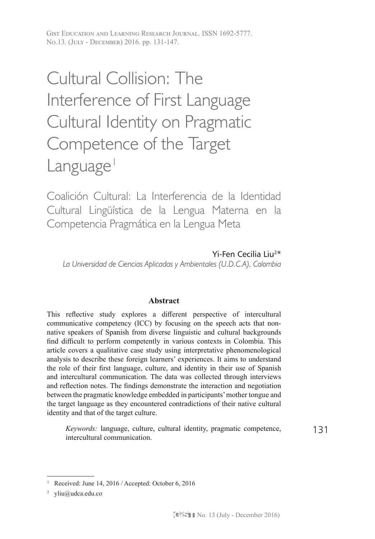Gist Education and Learning Research Journal. ISSN 1692-5777. No.13. (July - December) 2016. pp. 131-147.

# Cultural Collision: The Interference of First Language Cultural Identity on Pragmatic Competence of the Target  $L$ anguage<sup>1</sup>

Coalición Cultural: La Interferencia de la Identidad Cultural Lingüística de la Lengua Materna en la Competencia Pragmática en la Lengua Meta

Yi-Fen Cecilia Liu2\* *La Universidad de Ciencias Aplicadas y Ambientales (U.D.C.A), Colombia*

# **Abstract**

This reflective study explores a different perspective of intercultural communicative competency (ICC) by focusing on the speech acts that nonnative speakers of Spanish from diverse linguistic and cultural backgrounds find difficult to perform competently in various contexts in Colombia. This article covers a qualitative case study using interpretative phenomenological analysis to describe these foreign learners' experiences. It aims to understand the role of their first language, culture, and identity in their use of Spanish and intercultural communication. The data was collected through interviews and reflection notes. The findings demonstrate the interaction and negotiation between the pragmatic knowledge embedded in participants' mother tongue and the target language as they encountered contradictions of their native cultural identity and that of the target culture.

131 *Keywords:* language, culture, cultural identity, pragmatic competence, intercultural communication.

<sup>&</sup>lt;sup>1</sup> Received: June 14, 2016 / Accepted: October 6, 2016

<sup>2</sup> yliu@udca.edu.co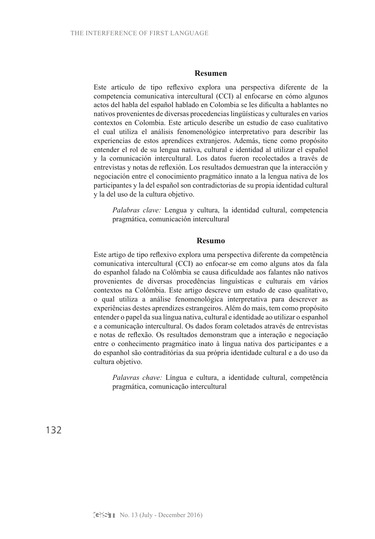#### **Resumen**

Este artículo de tipo reflexivo explora una perspectiva diferente de la competencia comunicativa intercultural (CCI) al enfocarse en cómo algunos actos del habla del español hablado en Colombia se les dificulta a hablantes no nativos provenientes de diversas procedencias lingüísticas y culturales en varios contextos en Colombia. Este articulo describe un estudio de caso cualitativo el cual utiliza el análisis fenomenológico interpretativo para describir las experiencias de estos aprendices extranjeros. Además, tiene como propósito entender el rol de su lengua nativa, cultural e identidad al utilizar el español y la comunicación intercultural. Los datos fueron recolectados a través de entrevistas y notas de reflexión. Los resultados demuestran que la interacción y negociación entre el conocimiento pragmático innato a la lengua nativa de los participantes y la del español son contradictorias de su propia identidad cultural y la del uso de la cultura objetivo.

*Palabras clave:* Lengua y cultura, la identidad cultural, competencia pragmática, comunicación intercultural

#### **Resumo**

Este artigo de tipo reflexivo explora uma perspectiva diferente da competência comunicativa intercultural (CCI) ao enfocar-se em como alguns atos da fala do espanhol falado na Colômbia se causa dificuldade aos falantes não nativos provenientes de diversas procedências linguísticas e culturais em vários contextos na Colômbia. Este artigo descreve um estudo de caso qualitativo, o qual utiliza a análise fenomenológica interpretativa para descrever as experiências destes aprendizes estrangeiros. Além do mais, tem como propósito entender o papel da sua língua nativa, cultural e identidade ao utilizar o espanhol e a comunicação intercultural. Os dados foram coletados através de entrevistas e notas de reflexão. Os resultados demonstram que a interação e negociação entre o conhecimento pragmático inato à língua nativa dos participantes e a do espanhol são contraditórias da sua própria identidade cultural e a do uso da cultura objetivo.

*Palavras chave:* Língua e cultura, a identidade cultural, competência pragmática, comunicação intercultural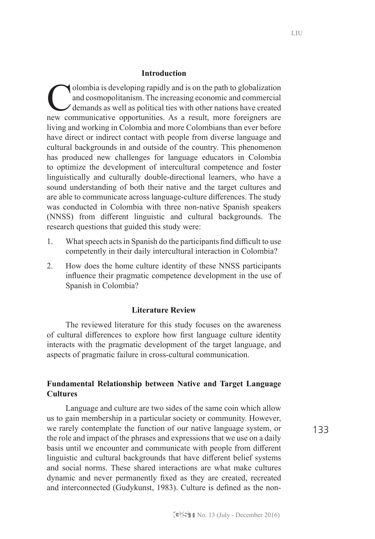#### **Introduction**

olombia is developing rapidly and is on the path to globalization and cosmopolitanism. The increasing economic and commercial demands as well as political ties with other nations have created new communicative opportunities. As a result, more foreigners are living and working in Colombia and more Colombians than ever before have direct or indirect contact with people from diverse language and cultural backgrounds in and outside of the country. This phenomenon has produced new challenges for language educators in Colombia to optimize the development of intercultural competence and foster linguistically and culturally double-directional learners, who have a sound understanding of both their native and the target cultures and are able to communicate across language-culture differences. The study was conducted in Colombia with three non-native Spanish speakers (NNSS) from different linguistic and cultural backgrounds. The research questions that guided this study were:

- 1. What speech acts in Spanish do the participants find difficult to use competently in their daily intercultural interaction in Colombia?
- 2. How does the home culture identity of these NNSS participants influence their pragmatic competence development in the use of Spanish in Colombia?

# **Literature Review**

The reviewed literature for this study focuses on the awareness of cultural differences to explore how first language culture identity interacts with the pragmatic development of the target language, and aspects of pragmatic failure in cross-cultural communication.

# **Fundamental Relationship between Native and Target Language Cultures**

Language and culture are two sides of the same coin which allow us to gain membership in a particular society or community. However, we rarely contemplate the function of our native language system, or the role and impact of the phrases and expressions that we use on a daily basis until we encounter and communicate with people from different linguistic and cultural backgrounds that have different belief systems and social norms. These shared interactions are what make cultures dynamic and never permanently fixed as they are created, recreated and interconnected (Gudykunst, 1983). Culture is defined as the non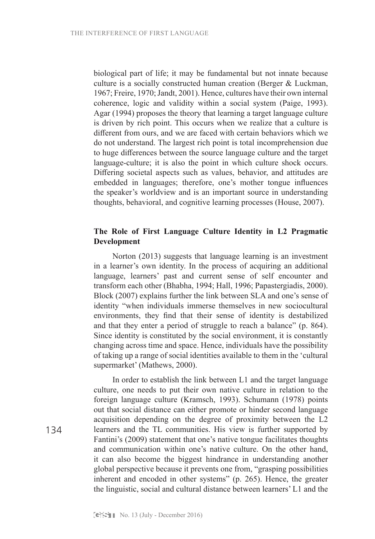biological part of life; it may be fundamental but not innate because culture is a socially constructed human creation (Berger & Luckman, 1967; Freire, 1970; Jandt, 2001). Hence, cultures have their own internal coherence, logic and validity within a social system (Paige, 1993). Agar (1994) proposes the theory that learning a target language culture is driven by rich point. This occurs when we realize that a culture is different from ours, and we are faced with certain behaviors which we do not understand. The largest rich point is total incomprehension due to huge differences between the source language culture and the target language-culture; it is also the point in which culture shock occurs. Differing societal aspects such as values, behavior, and attitudes are embedded in languages; therefore, one's mother tongue influences the speaker's worldview and is an important source in understanding thoughts, behavioral, and cognitive learning processes (House, 2007).

# **The Role of First Language Culture Identity in L2 Pragmatic Development**

Norton (2013) suggests that language learning is an investment in a learner's own identity. In the process of acquiring an additional language, learners' past and current sense of self encounter and transform each other (Bhabha, 1994; Hall, 1996; Papastergiadis, 2000). Block (2007) explains further the link between SLA and one's sense of identity "when individuals immerse themselves in new sociocultural environments, they find that their sense of identity is destabilized and that they enter a period of struggle to reach a balance" (p. 864). Since identity is constituted by the social environment, it is constantly changing across time and space. Hence, individuals have the possibility of taking up a range of social identities available to them in the 'cultural supermarket' (Mathews, 2000).

In order to establish the link between L1 and the target language culture, one needs to put their own native culture in relation to the foreign language culture (Kramsch, 1993). Schumann (1978) points out that social distance can either promote or hinder second language acquisition depending on the degree of proximity between the L2 learners and the TL communities. His view is further supported by Fantini's (2009) statement that one's native tongue facilitates thoughts and communication within one's native culture. On the other hand, it can also become the biggest hindrance in understanding another global perspective because it prevents one from, "grasping possibilities inherent and encoded in other systems" (p. 265). Hence, the greater the linguistic, social and cultural distance between learners' L1 and the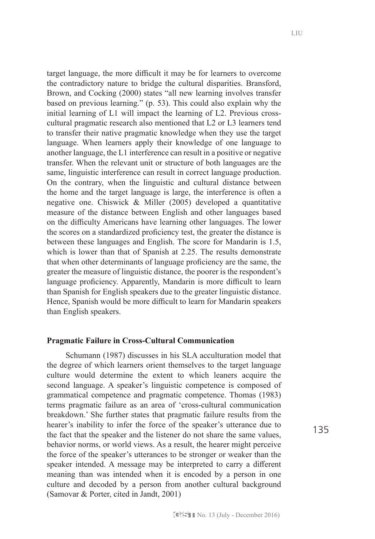target language, the more difficult it may be for learners to overcome the contradictory nature to bridge the cultural disparities. Bransford, Brown, and Cocking (2000) states "all new learning involves transfer based on previous learning." (p. 53). This could also explain why the initial learning of L1 will impact the learning of L2. Previous crosscultural pragmatic research also mentioned that L2 or L3 learners tend to transfer their native pragmatic knowledge when they use the target language. When learners apply their knowledge of one language to another language, the L1 interference can result in a positive or negative transfer. When the relevant unit or structure of both languages are the same, linguistic interference can result in correct language production. On the contrary, when the linguistic and cultural distance between the home and the target language is large, the interference is often a negative one. Chiswick & Miller (2005) developed a quantitative measure of the distance between English and other languages based on the difficulty Americans have learning other languages. The lower the scores on a standardized proficiency test, the greater the distance is between these languages and English. The score for Mandarin is 1.5, which is lower than that of Spanish at 2.25. The results demonstrate that when other determinants of language proficiency are the same, the greater the measure of linguistic distance, the poorer is the respondent's language proficiency. Apparently, Mandarin is more difficult to learn than Spanish for English speakers due to the greater linguistic distance. Hence, Spanish would be more difficult to learn for Mandarin speakers than English speakers.

#### **Pragmatic Failure in Cross-Cultural Communication**

Schumann (1987) discusses in his SLA acculturation model that the degree of which learners orient themselves to the target language culture would determine the extent to which leaners acquire the second language. A speaker's linguistic competence is composed of grammatical competence and pragmatic competence. Thomas (1983) terms pragmatic failure as an area of 'cross-cultural communication breakdown.' She further states that pragmatic failure results from the hearer's inability to infer the force of the speaker's utterance due to the fact that the speaker and the listener do not share the same values, behavior norms, or world views. As a result, the hearer might perceive the force of the speaker's utterances to be stronger or weaker than the speaker intended. A message may be interpreted to carry a different meaning than was intended when it is encoded by a person in one culture and decoded by a person from another cultural background (Samovar & Porter, cited in Jandt, 2001)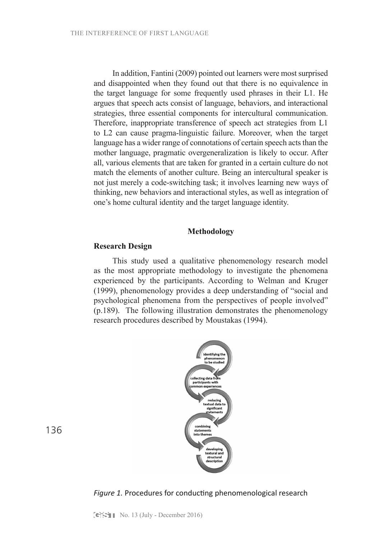In addition, Fantini (2009) pointed out learners were most surprised and disappointed when they found out that there is no equivalence in the target language for some frequently used phrases in their L1. He argues that speech acts consist of language, behaviors, and interactional strategies, three essential components for intercultural communication. Therefore, inappropriate transference of speech act strategies from L1 to L2 can cause pragma-linguistic failure. Moreover, when the target language has a wider range of connotations of certain speech acts than the mother language, pragmatic overgeneralization is likely to occur. After all, various elements that are taken for granted in a certain culture do not match the elements of another culture. Being an intercultural speaker is not just merely a code-switching task; it involves learning new ways of thinking, new behaviors and interactional styles, as well as integration of one's home cultural identity and the target language identity.

### **Methodology**

# **Research Design**

This study used a qualitative phenomenology research model as the most appropriate methodology to investigate the phenomena experienced by the participants. According to Welman and Kruger (1999), phenomenology provides a deep understanding of "social and psychological phenomena from the perspectives of people involved" (p.189). The following illustration demonstrates the phenomenology research procedures described by Moustakas (1994).



*Figure 1.* Procedures for conducting phenomenological research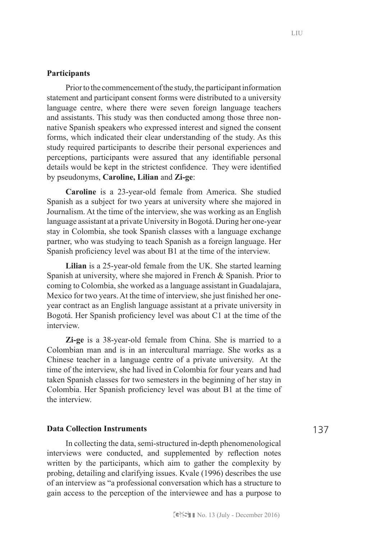## **Participants**

Prior to the commencement of the study, the participant information statement and participant consent forms were distributed to a university language centre, where there were seven foreign language teachers and assistants. This study was then conducted among those three nonnative Spanish speakers who expressed interest and signed the consent forms, which indicated their clear understanding of the study. As this study required participants to describe their personal experiences and perceptions, participants were assured that any identifiable personal details would be kept in the strictest confidence. They were identified by pseudonyms, **Caroline, Lilian** and **Zi-ge**:

**Caroline** is a 23-year-old female from America. She studied Spanish as a subject for two years at university where she majored in Journalism. At the time of the interview, she was working as an English language assistant at a private University in Bogotá. During her one-year stay in Colombia, she took Spanish classes with a language exchange partner, who was studying to teach Spanish as a foreign language. Her Spanish proficiency level was about B1 at the time of the interview.

**Lilian** is a 25-year-old female from the UK. She started learning Spanish at university, where she majored in French & Spanish. Prior to coming to Colombia, she worked as a language assistant in Guadalajara, Mexico for two years. At the time of interview, she just finished her oneyear contract as an English language assistant at a private university in Bogotá. Her Spanish proficiency level was about C1 at the time of the interview.

**Zi-ge** is a 38-year-old female from China. She is married to a Colombian man and is in an intercultural marriage. She works as a Chinese teacher in a language centre of a private university. At the time of the interview, she had lived in Colombia for four years and had taken Spanish classes for two semesters in the beginning of her stay in Colombia. Her Spanish proficiency level was about B1 at the time of the interview.

## **Data Collection Instruments**

In collecting the data, semi-structured in-depth phenomenological interviews were conducted, and supplemented by reflection notes written by the participants, which aim to gather the complexity by probing, detailing and clarifying issues. Kvale (1996) describes the use of an interview as "a professional conversation which has a structure to gain access to the perception of the interviewee and has a purpose to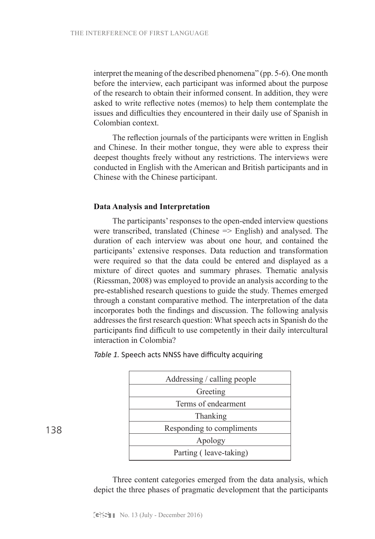interpret the meaning of the described phenomena" (pp. 5-6). One month before the interview, each participant was informed about the purpose of the research to obtain their informed consent. In addition, they were asked to write reflective notes (memos) to help them contemplate the issues and difficulties they encountered in their daily use of Spanish in Colombian context.

The reflection journals of the participants were written in English and Chinese. In their mother tongue, they were able to express their deepest thoughts freely without any restrictions. The interviews were conducted in English with the American and British participants and in Chinese with the Chinese participant.

#### **Data Analysis and Interpretation**

The participants' responses to the open-ended interview questions were transcribed, translated (Chinese => English) and analysed. The duration of each interview was about one hour, and contained the participants' extensive responses. Data reduction and transformation were required so that the data could be entered and displayed as a mixture of direct quotes and summary phrases. Thematic analysis (Riessman, 2008) was employed to provide an analysis according to the pre-established research questions to guide the study. Themes emerged through a constant comparative method. The interpretation of the data incorporates both the findings and discussion. The following analysis addresses the first research question: What speech acts in Spanish do the participants find difficult to use competently in their daily intercultural interaction in Colombia?

| Addressing / calling people |
|-----------------------------|
| Greeting                    |
| Terms of endearment         |
| Thanking                    |
| Responding to compliments   |
| Apology                     |
| Parting (leave-taking)      |

*Table 1.* Speech acts NNSS have difficulty acquiring

Three content categories emerged from the data analysis, which depict the three phases of pragmatic development that the participants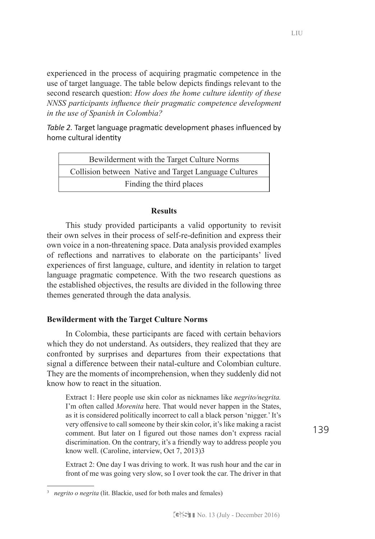experienced in the process of acquiring pragmatic competence in the use of target language. The table below depicts findings relevant to the second research question: *How does the home culture identity of these NNSS participants influence their pragmatic competence development in the use of Spanish in Colombia?*

*Table 2.* Target language pragmatic development phases influenced by home cultural identity

| Bewilderment with the Target Culture Norms            |
|-------------------------------------------------------|
| Collision between Native and Target Language Cultures |
| Finding the third places                              |

# **Results**

This study provided participants a valid opportunity to revisit their own selves in their process of self-re-definition and express their own voice in a non-threatening space. Data analysis provided examples of reflections and narratives to elaborate on the participants' lived experiences of first language, culture, and identity in relation to target language pragmatic competence. With the two research questions as the established objectives, the results are divided in the following three themes generated through the data analysis.

# **Bewilderment with the Target Culture Norms**

In Colombia, these participants are faced with certain behaviors which they do not understand. As outsiders, they realized that they are confronted by surprises and departures from their expectations that signal a difference between their natal-culture and Colombian culture. They are the moments of incomprehension, when they suddenly did not know how to react in the situation.

Extract 1: Here people use skin color as nicknames like *negrito/negrita.*  I'm often called *Morenita* here. That would never happen in the States, as it is considered politically incorrect to call a black person 'nigger.' It's very offensive to call someone by their skin color, it's like making a racist comment. But later on I figured out those names don't express racial discrimination. On the contrary, it's a friendly way to address people you know well. (Caroline, interview, Oct 7, 2013)3

Extract 2: One day I was driving to work. It was rush hour and the car in front of me was going very slow, so I over took the car. The driver in that

<sup>3</sup> *negrito o negrita* (lit. Blackie, used for both males and females)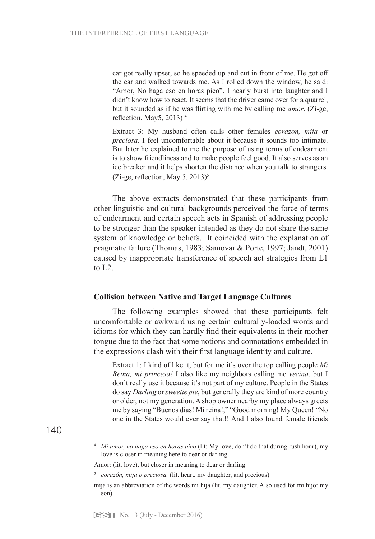car got really upset, so he speeded up and cut in front of me. He got off the car and walked towards me. As I rolled down the window, he said: "Amor, No haga eso en horas pico". I nearly burst into laughter and I didn't know how to react. It seems that the driver came over for a quarrel, but it sounded as if he was flirting with me by calling me *amor*. (Zi-ge, reflection, May5, 2013)<sup>4</sup>

Extract 3: My husband often calls other females *corazon, mija* or *preciosa*. I feel uncomfortable about it because it sounds too intimate. But later he explained to me the purpose of using terms of endearment is to show friendliness and to make people feel good. It also serves as an ice breaker and it helps shorten the distance when you talk to strangers. (Zi-ge, reflection, May 5, 2013)<sup>5</sup>

The above extracts demonstrated that these participants from other linguistic and cultural backgrounds perceived the force of terms of endearment and certain speech acts in Spanish of addressing people to be stronger than the speaker intended as they do not share the same system of knowledge or beliefs. It coincided with the explanation of pragmatic failure (Thomas, 1983; Samovar & Porte, 1997; Jandt, 2001) caused by inappropriate transference of speech act strategies from L1 to  $L2$ .

#### **Collision between Native and Target Language Cultures**

The following examples showed that these participants felt uncomfortable or awkward using certain culturally-loaded words and idioms for which they can hardly find their equivalents in their mother tongue due to the fact that some notions and connotations embedded in the expressions clash with their first language identity and culture.

Extract 1: I kind of like it, but for me it's over the top calling people *Mi Reina, mi princesa!* I also like my neighbors calling me *vecina*, but I don't really use it because it's not part of my culture. People in the States do say *Darling* or *sweetie pie*, but generally they are kind of more country or older, not my generation. A shop owner nearby my place always greets me by saying "Buenos dias! Mi reina!," "Good morning! My Queen! "No one in the States would ever say that!! And I also found female friends

<sup>4</sup> *Mi amor, no haga eso en horas pico* (lit: My love, don't do that during rush hour), my love is closer in meaning here to dear or darling.

Amor: (lit. love), but closer in meaning to dear or darling

<sup>5</sup> *corazón, mija o preciosa.* (lit. heart, my daughter, and precious)

mija is an abbreviation of the words mi hija (lit. my daughter. Also used for mi hijo: my son)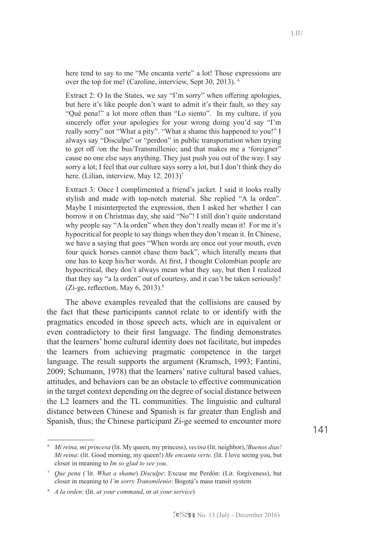here tend to say to me "Me encanta verte" a lot! Those expressions are over the top for me! (Caroline, interview, Sept 30, 2013). 6

Extract 2: O In the States, we say "I'm sorry" when offering apologies, but here it's like people don't want to admit it's their fault, so they say "Qué pena!" a lot more often than "Lo siento". In my culture, if you sincerely offer your apologies for your wrong doing you'd say "I'm really sorry" not "What a pity". "What a shame this happened to you!" I always say "Disculpe" or "perdon" in public transportation when trying to get off /on the bus/Transmillenio; and that makes me a 'foreigner" cause no one else says anything. They just push you out of the way. I say sorry a lot; I feel that our culture says sorry a lot, but I don't think they do here. (Lilian, interview, May 12, 2013)<sup>7</sup>

Extract 3: Once I complimented a friend's jacket. I said it looks really stylish and made with top-notch material. She replied "A la orden". Maybe I misinterpreted the expression, then I asked her whether I can borrow it on Christmas day, she said "No"! I still don't quite understand why people say "A la orden" when they don't really mean it! For me it's hypocritical for people to say things when they don't mean it. In Chinese, we have a saying that goes "When words are once out your mouth, even four quick horses cannot chase them back", which literally means that one has to keep his/her words. At first, I thought Colombian people are hypocritical, they don't always mean what they say, but then I realized that they say "a la orden" out of courtesy, and it can't be taken seriously! (Zi-ge, reflection, May  $6, 2013$ ).<sup>8</sup>

The above examples revealed that the collisions are caused by the fact that these participants cannot relate to or identify with the pragmatics encoded in those speech acts, which are in equivalent or even contradictory to their first language. The finding demonstrates that the learners' home cultural identity does not facilitate, but impedes the learners from achieving pragmatic competence in the target language. The result supports the argument (Kramsch, 1993; Fantini, 2009; Schumann, 1978) that the learners' native cultural based values, attitudes, and behaviors can be an obstacle to effective communication in the target context depending on the degree of social distance between the L2 learners and the TL communities. The linguistic and cultural distance between Chinese and Spanish is far greater than English and Spanish, thus; the Chinese participant Zi-ge seemed to encounter more

<sup>6</sup> *Mi reina, mi princesa* (lit. My queen, my princess), *vecina* (lit. neighbor),*!Buenos dias! Mi reina*: (lit. Good morning, my queen!) *Me encanta verte.* (lit. I love seeing you, but closer in meaning to *Im so glad to see you*.

<sup>7</sup> *Que pena* (´lit. *What a shame*) *Disculpe*: Excuse me Perdón: (Lit. forgiveness), but closer in meaning to *I'm sorry Transmilenio*: Bogotá's mass transit system

<sup>8</sup> *A la orden*: (lit. *at your command*, or *at your service*)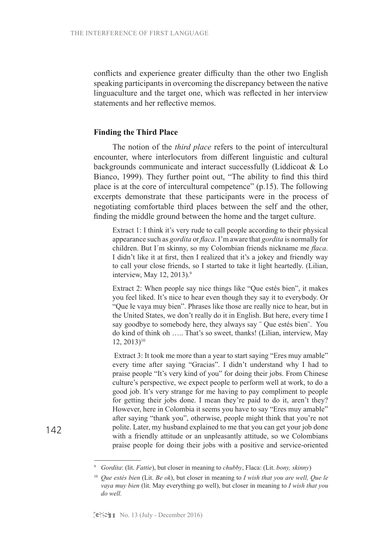conflicts and experience greater difficulty than the other two English speaking participants in overcoming the discrepancy between the native linguaculture and the target one, which was reflected in her interview statements and her reflective memos.

#### **Finding the Third Place**

The notion of the *third place* refers to the point of intercultural encounter, where interlocutors from different linguistic and cultural backgrounds communicate and interact successfully (Liddicoat & Lo Bianco, 1999). They further point out, "The ability to find this third place is at the core of intercultural competence" (p.15). The following excerpts demonstrate that these participants were in the process of negotiating comfortable third places between the self and the other, finding the middle ground between the home and the target culture.

Extract 1: I think it's very rude to call people according to their physical appearance such as *gordita* or *flaca*. I'm aware that *gordita* is normally for children. But I´m skinny, so my Colombian friends nickname me *flaca*. I didn't like it at first, then I realized that it's a jokey and friendly way to call your close friends, so I started to take it light heartedly. (Lilian, interview, May  $12$ ,  $2013$ ).<sup>9</sup>

Extract 2: When people say nice things like "Que estés bien", it makes you feel liked. It's nice to hear even though they say it to everybody. Or "Que le vaya muy bien". Phrases like those are really nice to hear, but in the United States, we don't really do it in English. But here, every time I say goodbye to somebody here, they always say ¨ Que estés bien¨. You do kind of think oh ….. That's so sweet, thanks! (Lilian, interview, May 12, 2013)10

 Extract 3: It took me more than a year to start saying "Eres muy amable" every time after saying "Gracias". I didn't understand why I had to praise people "It's very kind of you" for doing their jobs. From Chinese culture's perspective, we expect people to perform well at work, to do a good job. It's very strange for me having to pay compliment to people for getting their jobs done. I mean they're paid to do it, aren't they? However, here in Colombia it seems you have to say "Eres muy amable" after saying "thank you", otherwise, people might think that you're not polite. Later, my husband explained to me that you can get your job done with a friendly attitude or an unpleasantly attitude, so we Colombians praise people for doing their jobs with a positive and service-oriented

<sup>9</sup> *Gordita*: (lit. *Fattie*), but closer in meaning to *chubby*, Flaca: (Lit. *bony, skinny*)

<sup>10</sup> *Que estés bien* (Lit. *Be ok*), but closer in meaning to *I wish that you are well, Que le vaya muy bien* (lit. May everything go well), but closer in meaning to *I wish that you do well.*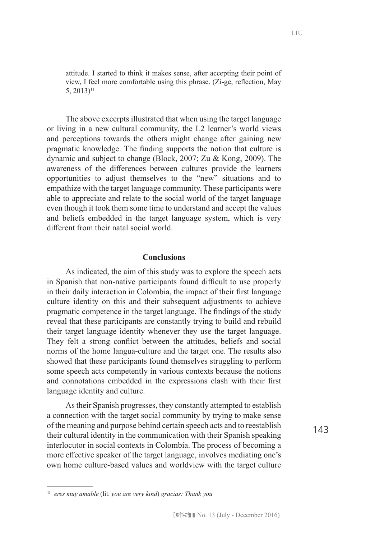attitude. I started to think it makes sense, after accepting their point of view, I feel more comfortable using this phrase. (Zi-ge, reflection, May 5,  $2013$ <sup>11</sup>

The above excerpts illustrated that when using the target language or living in a new cultural community, the L2 learner's world views and perceptions towards the others might change after gaining new pragmatic knowledge. The finding supports the notion that culture is dynamic and subject to change (Block, 2007; Zu & Kong, 2009). The awareness of the differences between cultures provide the learners opportunities to adjust themselves to the "new" situations and to empathize with the target language community. These participants were able to appreciate and relate to the social world of the target language even though it took them some time to understand and accept the values and beliefs embedded in the target language system, which is very different from their natal social world.

## **Conclusions**

As indicated, the aim of this study was to explore the speech acts in Spanish that non-native participants found difficult to use properly in their daily interaction in Colombia, the impact of their first language culture identity on this and their subsequent adjustments to achieve pragmatic competence in the target language. The findings of the study reveal that these participants are constantly trying to build and rebuild their target language identity whenever they use the target language. They felt a strong conflict between the attitudes, beliefs and social norms of the home langua-culture and the target one. The results also showed that these participants found themselves struggling to perform some speech acts competently in various contexts because the notions and connotations embedded in the expressions clash with their first language identity and culture.

As their Spanish progresses, they constantly attempted to establish a connection with the target social community by trying to make sense of the meaning and purpose behind certain speech acts and to reestablish their cultural identity in the communication with their Spanish speaking interlocutor in social contexts in Colombia. The process of becoming a more effective speaker of the target language, involves mediating one's own home culture-based values and worldview with the target culture

<sup>143</sup>

<sup>11</sup> *eres muy amable* (lit. *you are very kind*) *gracias: Thank you*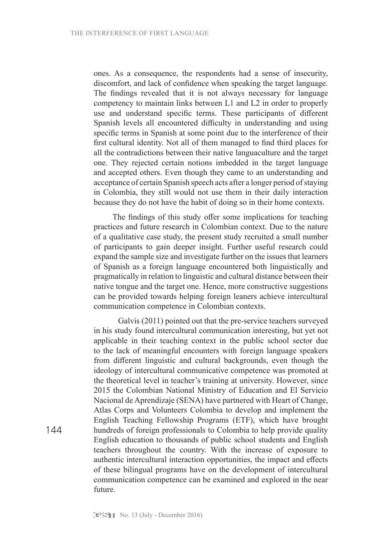ones. As a consequence, the respondents had a sense of insecurity, discomfort, and lack of confidence when speaking the target language. The findings revealed that it is not always necessary for language competency to maintain links between L1 and L2 in order to properly use and understand specific terms. These participants of different Spanish levels all encountered difficulty in understanding and using specific terms in Spanish at some point due to the interference of their first cultural identity. Not all of them managed to find third places for all the contradictions between their native languaculture and the target one. They rejected certain notions imbedded in the target language and accepted others. Even though they came to an understanding and acceptance of certain Spanish speech acts after a longer period of staying in Colombia, they still would not use them in their daily interaction because they do not have the habit of doing so in their home contexts.

The findings of this study offer some implications for teaching practices and future research in Colombian context. Due to the nature of a qualitative case study, the present study recruited a small number of participants to gain deeper insight. Further useful research could expand the sample size and investigate further on the issues that learners of Spanish as a foreign language encountered both linguistically and pragmatically in relation to linguistic and cultural distance between their native tongue and the target one. Hence, more constructive suggestions can be provided towards helping foreign leaners achieve intercultural communication competence in Colombian contexts.

 Galvis (2011) pointed out that the pre-service teachers surveyed in his study found intercultural communication interesting, but yet not applicable in their teaching context in the public school sector due to the lack of meaningful encounters with foreign language speakers from different linguistic and cultural backgrounds, even though the ideology of intercultural communicative competence was promoted at the theoretical level in teacher's training at university. However, since 2015 the Colombian National Ministry of Education and El Servicio Nacional de Aprendizaje (SENA) have partnered with Heart of Change, Atlas Corps and Volunteers Colombia to develop and implement the English Teaching Fellowship Programs (ETF), which have brought hundreds of foreign professionals to Colombia to help provide quality English education to thousands of public school students and English teachers throughout the country. With the increase of exposure to authentic intercultural interaction opportunities, the impact and effects of these bilingual programs have on the development of intercultural communication competence can be examined and explored in the near future.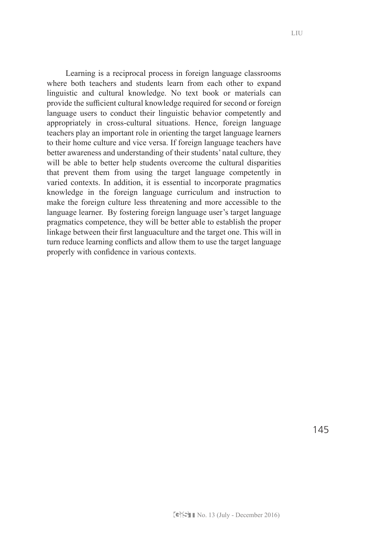Learning is a reciprocal process in foreign language classrooms where both teachers and students learn from each other to expand linguistic and cultural knowledge. No text book or materials can provide the sufficient cultural knowledge required for second or foreign language users to conduct their linguistic behavior competently and appropriately in cross-cultural situations. Hence, foreign language teachers play an important role in orienting the target language learners to their home culture and vice versa. If foreign language teachers have better awareness and understanding of their students' natal culture, they will be able to better help students overcome the cultural disparities that prevent them from using the target language competently in varied contexts. In addition, it is essential to incorporate pragmatics knowledge in the foreign language curriculum and instruction to make the foreign culture less threatening and more accessible to the language learner. By fostering foreign language user's target language pragmatics competence, they will be better able to establish the proper linkage between their first languaculture and the target one. This will in turn reduce learning conflicts and allow them to use the target language properly with confidence in various contexts.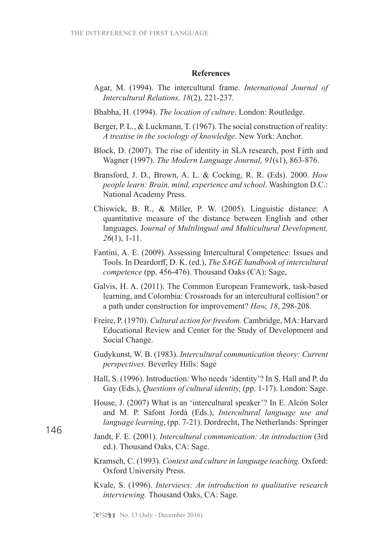#### **References**

- Agar, M. (1994). The intercultural frame. *International Journal of Intercultural Relations, 18*(2), 221-237.
- Bhabha, H. (1994). *The location of culture*. London: Routledge.
- Berger, P. L., & Luckmann, T. (1967). The social construction of reality: *A treatise in the sociology of knowledge*. New York: Anchor.
- Block, D. (2007). The rise of identity in SLA research, post Firth and Wagner (1997). *The Modern Language Journal, 91*(s1), 863-876.
- Bransford, J. D., Brown, A. L. & Cocking, R. R. (Eds). 2000. *How people learn: Brain, mind, experience and school*. Washington D.C.: National Academy Press.
- Chiswick, B. R., & Miller, P. W. (2005). Linguistic distance: A quantitative measure of the distance between English and other languages. J*ournal of Multilingual and Multicultural Development, 26*(1), 1-11.
- Fantini, A. E. (2009). Assessing Intercultural Competence: Issues and Tools. In Deardorff, D. K. (ed.), *The SAGE handbook of intercultural competence* (pp. 456-476). Thousand Oaks (CA): Sage,
- Galvis, H. A. (2011). The Common European Framework, task-based learning, and Colombia: Crossroads for an intercultural collision? or a path under construction for improvement? *How, 18*, 298-208.
- Freire, P. (1970). *Cultural action for freedom.* Cambridge, MA: Harvard Educational Review and Center for the Study of Development and Social Change.
- Gudykunst, W. B. (1983). *Intercultural communication theory: Current perspectives.* Beverley Hills: Sage
- Hall, S. (1996). Introduction: Who needs 'identity'? In S. Hall and P. du Gay (Eds.), *Questions of cultural identity,* (pp. 1-17). London: Sage.
- House, J. (2007) What is an 'intercultural speaker'? In E. Alcón Soler and M. P. Safont Jordá (Eds.), *Intercultural language use and language learning*, (pp. 7-21). Dordrecht, The Netherlands: Springer
- Jandt, F. E. (2001). *Intercultural communication: An introduction* (3rd ed.). Thousand Oaks, CA: Sage.
	- Kramsch, C. (1993). *Context and culture in language teaching.* Oxford: Oxford University Press.
	- Kvale, S. (1996). *Interviews: An introduction to qualitative research interviewing.* Thousand Oaks, CA: Sage.